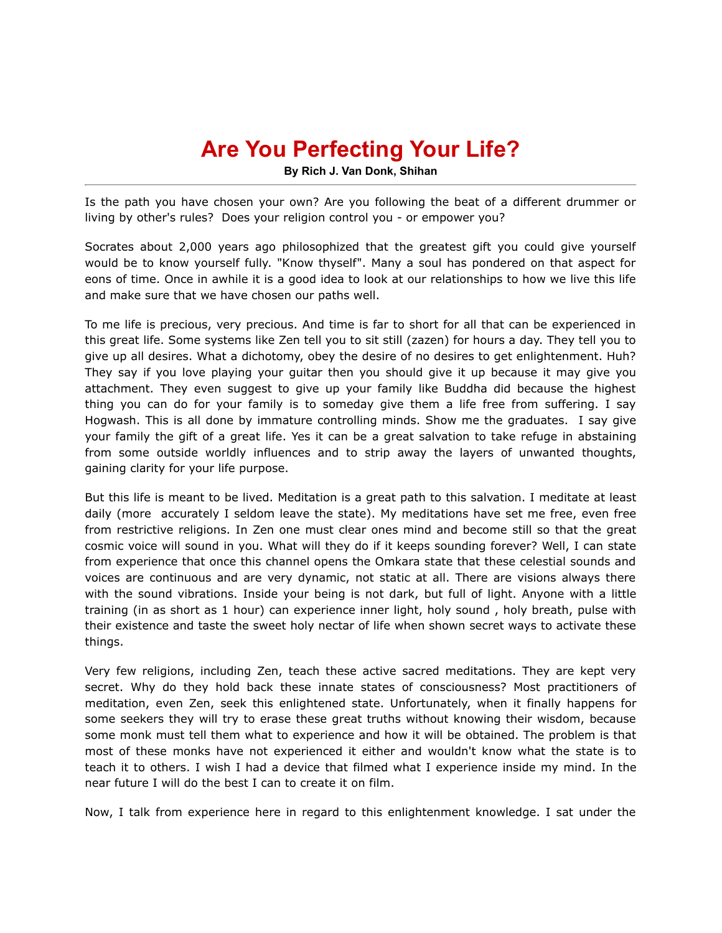## **Are You Perfecting Your Life?**

**By Rich J. Van Donk, Shihan**

Is the path you have chosen your own? Are you following the beat of a different drummer or living by other's rules? Does your religion control you - or empower you?

Socrates about 2,000 years ago philosophized that the greatest gift you could give yourself would be to know yourself fully. "Know thyself". Many a soul has pondered on that aspect for eons of time. Once in awhile it is a good idea to look at our relationships to how we live this life and make sure that we have chosen our paths well.

To me life is precious, very precious. And time is far to short for all that can be experienced in this great life. Some systems like Zen tell you to sit still (zazen) for hours a day. They tell you to give up all desires. What a dichotomy, obey the desire of no desires to get enlightenment. Huh? They say if you love playing your guitar then you should give it up because it may give you attachment. They even suggest to give up your family like Buddha did because the highest thing you can do for your family is to someday give them a life free from suffering. I say Hogwash. This is all done by immature controlling minds. Show me the graduates. I say give your family the gift of a great life. Yes it can be a great salvation to take refuge in abstaining from some outside worldly influences and to strip away the layers of unwanted thoughts, gaining clarity for your life purpose.

But this life is meant to be lived. Meditation is a great path to this salvation. I meditate at least daily (more accurately I seldom leave the state). My meditations have set me free, even free from restrictive religions. In Zen one must clear ones mind and become still so that the great cosmic voice will sound in you. What will they do if it keeps sounding forever? Well, I can state from experience that once this channel opens the Omkara state that these celestial sounds and voices are continuous and are very dynamic, not static at all. There are visions always there with the sound vibrations. Inside your being is not dark, but full of light. Anyone with a little training (in as short as 1 hour) can experience inner light, holy sound , holy breath, pulse with their existence and taste the sweet holy nectar of life when shown secret ways to activate these things.

Very few religions, including Zen, teach these active sacred meditations. They are kept very secret. Why do they hold back these innate states of consciousness? Most practitioners of meditation, even Zen, seek this enlightened state. Unfortunately, when it finally happens for some seekers they will try to erase these great truths without knowing their wisdom, because some monk must tell them what to experience and how it will be obtained. The problem is that most of these monks have not experienced it either and wouldn't know what the state is to teach it to others. I wish I had a device that filmed what I experience inside my mind. In the near future I will do the best I can to create it on film.

Now, I talk from experience here in regard to this enlightenment knowledge. I sat under the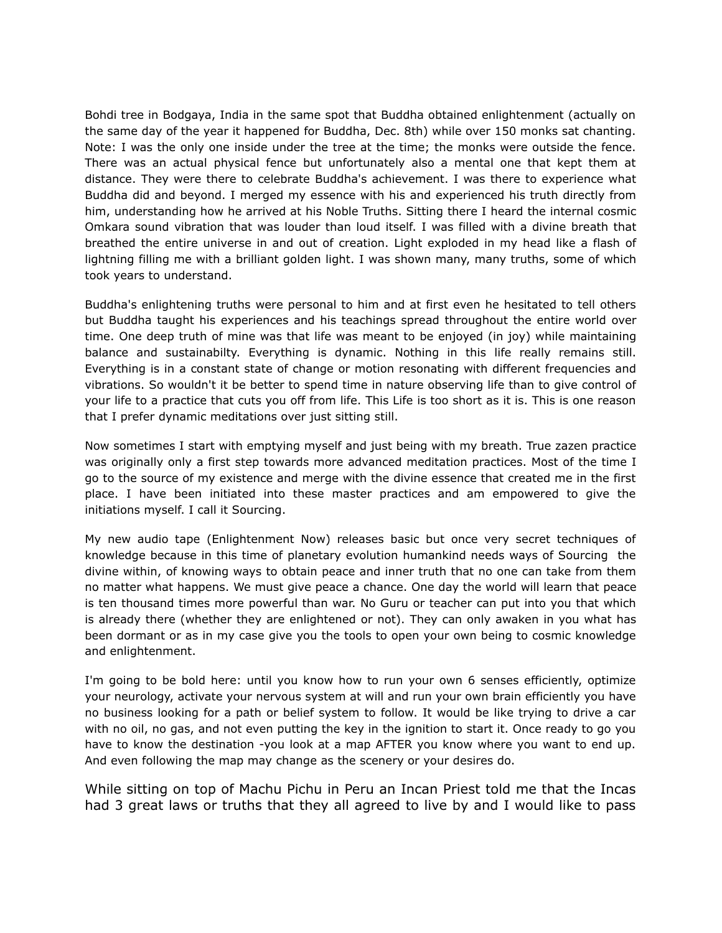Bohdi tree in Bodgaya, India in the same spot that Buddha obtained enlightenment (actually on the same day of the year it happened for Buddha, Dec. 8th) while over 150 monks sat chanting. Note: I was the only one inside under the tree at the time; the monks were outside the fence. There was an actual physical fence but unfortunately also a mental one that kept them at distance. They were there to celebrate Buddha's achievement. I was there to experience what Buddha did and beyond. I merged my essence with his and experienced his truth directly from him, understanding how he arrived at his Noble Truths. Sitting there I heard the internal cosmic Omkara sound vibration that was louder than loud itself. I was filled with a divine breath that breathed the entire universe in and out of creation. Light exploded in my head like a flash of lightning filling me with a brilliant golden light. I was shown many, many truths, some of which took years to understand.

Buddha's enlightening truths were personal to him and at first even he hesitated to tell others but Buddha taught his experiences and his teachings spread throughout the entire world over time. One deep truth of mine was that life was meant to be enjoyed (in joy) while maintaining balance and sustainabilty. Everything is dynamic. Nothing in this life really remains still. Everything is in a constant state of change or motion resonating with different frequencies and vibrations. So wouldn't it be better to spend time in nature observing life than to give control of your life to a practice that cuts you off from life. This Life is too short as it is. This is one reason that I prefer dynamic meditations over just sitting still.

Now sometimes I start with emptying myself and just being with my breath. True zazen practice was originally only a first step towards more advanced meditation practices. Most of the time I go to the source of my existence and merge with the divine essence that created me in the first place. I have been initiated into these master practices and am empowered to give the initiations myself. I call it Sourcing.

My new audio tape (Enlightenment Now) releases basic but once very secret techniques of knowledge because in this time of planetary evolution humankind needs ways of Sourcing the divine within, of knowing ways to obtain peace and inner truth that no one can take from them no matter what happens. We must give peace a chance. One day the world will learn that peace is ten thousand times more powerful than war. No Guru or teacher can put into you that which is already there (whether they are enlightened or not). They can only awaken in you what has been dormant or as in my case give you the tools to open your own being to cosmic knowledge and enlightenment.

I'm going to be bold here: until you know how to run your own 6 senses efficiently, optimize your neurology, activate your nervous system at will and run your own brain efficiently you have no business looking for a path or belief system to follow. It would be like trying to drive a car with no oil, no gas, and not even putting the key in the ignition to start it. Once ready to go you have to know the destination -you look at a map AFTER you know where you want to end up. And even following the map may change as the scenery or your desires do.

While sitting on top of Machu Pichu in Peru an Incan Priest told me that the Incas had 3 great laws or truths that they all agreed to live by and I would like to pass